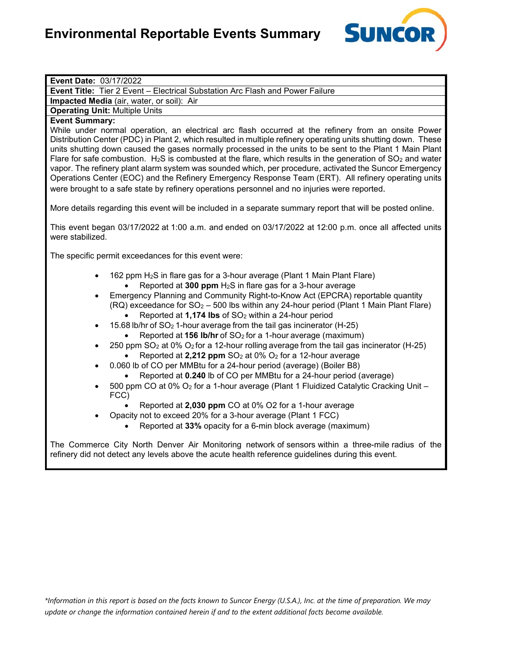

| Event Date: 03/17/2022                                                                                                                                                                                                                                                                                                                                                                                                                                                                                                                                                                                                                                                                                                                                                                                                                                                                                                                                                                                                                                                                                                                                                                                                              |
|-------------------------------------------------------------------------------------------------------------------------------------------------------------------------------------------------------------------------------------------------------------------------------------------------------------------------------------------------------------------------------------------------------------------------------------------------------------------------------------------------------------------------------------------------------------------------------------------------------------------------------------------------------------------------------------------------------------------------------------------------------------------------------------------------------------------------------------------------------------------------------------------------------------------------------------------------------------------------------------------------------------------------------------------------------------------------------------------------------------------------------------------------------------------------------------------------------------------------------------|
| Event Title: Tier 2 Event - Electrical Substation Arc Flash and Power Failure                                                                                                                                                                                                                                                                                                                                                                                                                                                                                                                                                                                                                                                                                                                                                                                                                                                                                                                                                                                                                                                                                                                                                       |
| Impacted Media (air, water, or soil): Air                                                                                                                                                                                                                                                                                                                                                                                                                                                                                                                                                                                                                                                                                                                                                                                                                                                                                                                                                                                                                                                                                                                                                                                           |
| <b>Operating Unit: Multiple Units</b>                                                                                                                                                                                                                                                                                                                                                                                                                                                                                                                                                                                                                                                                                                                                                                                                                                                                                                                                                                                                                                                                                                                                                                                               |
| <b>Event Summary:</b><br>While under normal operation, an electrical arc flash occurred at the refinery from an onsite Power<br>Distribution Center (PDC) in Plant 2, which resulted in multiple refinery operating units shutting down. These<br>units shutting down caused the gases normally processed in the units to be sent to the Plant 1 Main Plant<br>Flare for safe combustion. $H_2S$ is combusted at the flare, which results in the generation of $SO_2$ and water<br>vapor. The refinery plant alarm system was sounded which, per procedure, activated the Suncor Emergency<br>Operations Center (EOC) and the Refinery Emergency Response Team (ERT). All refinery operating units<br>were brought to a safe state by refinery operations personnel and no injuries were reported.                                                                                                                                                                                                                                                                                                                                                                                                                                  |
| More details regarding this event will be included in a separate summary report that will be posted online.                                                                                                                                                                                                                                                                                                                                                                                                                                                                                                                                                                                                                                                                                                                                                                                                                                                                                                                                                                                                                                                                                                                         |
| This event began 03/17/2022 at 1:00 a.m. and ended on 03/17/2022 at 12:00 p.m. once all affected units<br>were stabilized.                                                                                                                                                                                                                                                                                                                                                                                                                                                                                                                                                                                                                                                                                                                                                                                                                                                                                                                                                                                                                                                                                                          |
| The specific permit exceedances for this event were:                                                                                                                                                                                                                                                                                                                                                                                                                                                                                                                                                                                                                                                                                                                                                                                                                                                                                                                                                                                                                                                                                                                                                                                |
| 162 ppm H <sub>2</sub> S in flare gas for a 3-hour average (Plant 1 Main Plant Flare)<br>Reported at 300 ppm H <sub>2</sub> S in flare gas for a 3-hour average<br>Emergency Planning and Community Right-to-Know Act (EPCRA) reportable quantity<br>(RQ) exceedance for SO <sub>2</sub> - 500 lbs within any 24-hour period (Plant 1 Main Plant Flare)<br>Reported at 1,174 lbs of SO <sub>2</sub> within a 24-hour period<br>15.68 lb/hr of SO <sub>2</sub> 1-hour average from the tail gas incinerator (H-25)<br>Reported at 156 Ib/hr of SO <sub>2</sub> for a 1-hour average (maximum)<br>250 ppm SO <sub>2</sub> at 0% O <sub>2</sub> for a 12-hour rolling average from the tail gas incinerator (H-25)<br>Reported at 2,212 ppm $SO2$ at 0% $O2$ for a 12-hour average<br>0.060 lb of CO per MMBtu for a 24-hour period (average) (Boiler B8)<br>Reported at 0.240 lb of CO per MMBtu for a 24-hour period (average)<br>500 ppm CO at 0% O <sub>2</sub> for a 1-hour average (Plant 1 Fluidized Catalytic Cracking Unit -<br>FCC)<br>Reported at 2,030 ppm CO at 0% O2 for a 1-hour average<br>Opacity not to exceed 20% for a 3-hour average (Plant 1 FCC)<br>Reported at 33% opacity for a 6-min block average (maximum) |
| The Commerce City North Denver Air Monitoring network of sensors within a three-mile radius of the<br>refinery did not detect any levels above the acute health reference guidelines during this event.                                                                                                                                                                                                                                                                                                                                                                                                                                                                                                                                                                                                                                                                                                                                                                                                                                                                                                                                                                                                                             |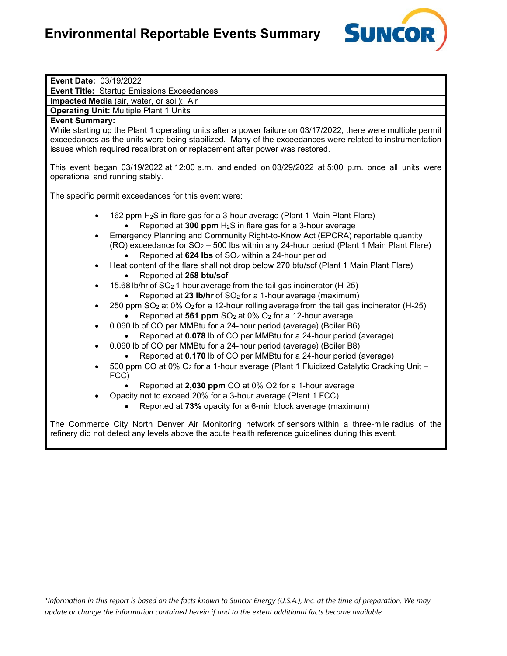

| Event Date: 03/19/2022                                                                                                                                                                                                                                                                                                                                                                                                                                                                                                                                                                                                                                                                                                                                                                                                                                                                                                                                                                                                                                                                                                                                                                                   |
|----------------------------------------------------------------------------------------------------------------------------------------------------------------------------------------------------------------------------------------------------------------------------------------------------------------------------------------------------------------------------------------------------------------------------------------------------------------------------------------------------------------------------------------------------------------------------------------------------------------------------------------------------------------------------------------------------------------------------------------------------------------------------------------------------------------------------------------------------------------------------------------------------------------------------------------------------------------------------------------------------------------------------------------------------------------------------------------------------------------------------------------------------------------------------------------------------------|
| <b>Event Title: Startup Emissions Exceedances</b>                                                                                                                                                                                                                                                                                                                                                                                                                                                                                                                                                                                                                                                                                                                                                                                                                                                                                                                                                                                                                                                                                                                                                        |
| Impacted Media (air, water, or soil): Air                                                                                                                                                                                                                                                                                                                                                                                                                                                                                                                                                                                                                                                                                                                                                                                                                                                                                                                                                                                                                                                                                                                                                                |
| <b>Operating Unit: Multiple Plant 1 Units</b>                                                                                                                                                                                                                                                                                                                                                                                                                                                                                                                                                                                                                                                                                                                                                                                                                                                                                                                                                                                                                                                                                                                                                            |
| <b>Event Summary:</b><br>While starting up the Plant 1 operating units after a power failure on 03/17/2022, there were multiple permit<br>exceedances as the units were being stabilized. Many of the exceedances were related to instrumentation<br>issues which required recalibration or replacement after power was restored.<br>This event began 03/19/2022 at 12:00 a.m. and ended on 03/29/2022 at 5:00 p.m. once all units were                                                                                                                                                                                                                                                                                                                                                                                                                                                                                                                                                                                                                                                                                                                                                                  |
| operational and running stably.                                                                                                                                                                                                                                                                                                                                                                                                                                                                                                                                                                                                                                                                                                                                                                                                                                                                                                                                                                                                                                                                                                                                                                          |
| The specific permit exceedances for this event were:                                                                                                                                                                                                                                                                                                                                                                                                                                                                                                                                                                                                                                                                                                                                                                                                                                                                                                                                                                                                                                                                                                                                                     |
| 162 ppm H <sub>2</sub> S in flare gas for a 3-hour average (Plant 1 Main Plant Flare)<br>Reported at 300 ppm H <sub>2</sub> S in flare gas for a 3-hour average<br>Emergency Planning and Community Right-to-Know Act (EPCRA) reportable quantity<br>(RQ) exceedance for SO <sub>2</sub> - 500 lbs within any 24-hour period (Plant 1 Main Plant Flare)<br>Reported at 624 Ibs of SO <sub>2</sub> within a 24-hour period<br>Heat content of the flare shall not drop below 270 btu/scf (Plant 1 Main Plant Flare)<br>$\bullet$<br>Reported at 258 btu/scf<br>15.68 lb/hr of SO <sub>2</sub> 1-hour average from the tail gas incinerator (H-25)<br>$\bullet$<br>Reported at 23 Ib/hr of SO <sub>2</sub> for a 1-hour average (maximum)<br>250 ppm SO <sub>2</sub> at 0% O <sub>2</sub> for a 12-hour rolling average from the tail gas incinerator (H-25)<br>$\bullet$<br>Reported at 561 ppm SO <sub>2</sub> at 0% O <sub>2</sub> for a 12-hour average<br>0.060 lb of CO per MMBtu for a 24-hour period (average) (Boiler B6)<br>$\bullet$<br>Reported at 0.078 lb of CO per MMBtu for a 24-hour period (average)<br>0.060 lb of CO per MMBtu for a 24-hour period (average) (Boiler B8)<br>$\bullet$ |
| Reported at 0.170 lb of CO per MMBtu for a 24-hour period (average)<br>500 ppm CO at 0% O <sub>2</sub> for a 1-hour average (Plant 1 Fluidized Catalytic Cracking Unit -<br>FCC)<br>Reported at 2,030 ppm CO at 0% O2 for a 1-hour average<br>Opacity not to exceed 20% for a 3-hour average (Plant 1 FCC)<br>Reported at 73% opacity for a 6-min block average (maximum)                                                                                                                                                                                                                                                                                                                                                                                                                                                                                                                                                                                                                                                                                                                                                                                                                                |
| The Commerce City North Denver Air Monitoring network of sensors within a three-mile radius of the<br>refinery did not detect any levels above the acute health reference guidelines during this event.                                                                                                                                                                                                                                                                                                                                                                                                                                                                                                                                                                                                                                                                                                                                                                                                                                                                                                                                                                                                  |